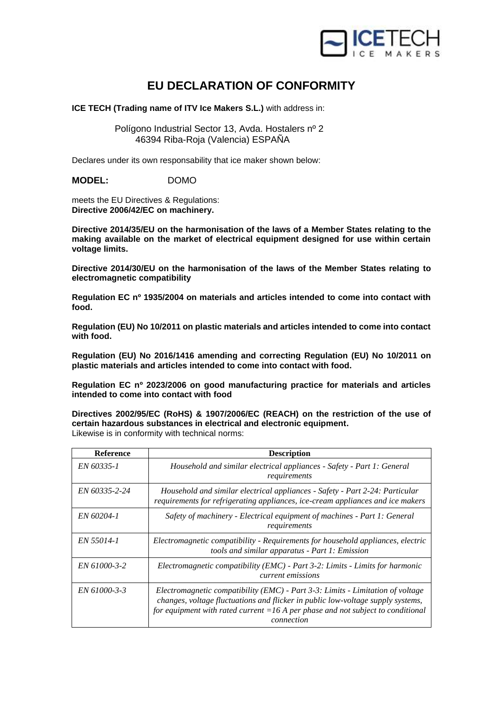

## **EU DECLARATION OF CONFORMITY**

**ICE TECH (Trading name of ITV Ice Makers S.L.)** with address in:

 Polígono Industrial Sector 13, Avda. Hostalers nº 2 46394 Riba-Roja (Valencia) ESPAÑA

Declares under its own responsability that ice maker shown below:

**MODEL:** DOMO

meets the EU Directives & Regulations: **Directive 2006/42/EC on machinery.**

**Directive 2014/35/EU on the harmonisation of the laws of a Member States relating to the making available on the market of electrical equipment designed for use within certain voltage limits.**

**Directive 2014/30/EU on the harmonisation of the laws of the Member States relating to electromagnetic compatibility**

**Regulation EC nº 1935/2004 on materials and articles intended to come into contact with food.**

**Regulation (EU) No 10/2011 on plastic materials and articles intended to come into contact with food.**

**Regulation (EU) No 2016/1416 amending and correcting Regulation (EU) No 10/2011 on plastic materials and articles intended to come into contact with food.**

**Regulation EC nº 2023/2006 on good manufacturing practice for materials and articles intended to come into contact with food**

**Directives 2002/95/EC (RoHS) & 1907/2006/EC (REACH) on the restriction of the use of certain hazardous substances in electrical and electronic equipment.** Likewise is in conformity with technical norms:

| <b>Reference</b> | <b>Description</b>                                                                                                                                                                                                                                                      |
|------------------|-------------------------------------------------------------------------------------------------------------------------------------------------------------------------------------------------------------------------------------------------------------------------|
| EN 60335-1       | Household and similar electrical appliances - Safety - Part 1: General<br>requirements                                                                                                                                                                                  |
| EN 60335-2-24    | Household and similar electrical appliances - Safety - Part 2-24: Particular<br>requirements for refrigerating appliances, ice-cream appliances and ice makers                                                                                                          |
| EN 60204-1       | Safety of machinery - Electrical equipment of machines - Part 1: General<br>requirements                                                                                                                                                                                |
| EN 55014-1       | Electromagnetic compatibility - Requirements for household appliances, electric<br>tools and similar apparatus - Part 1: Emission                                                                                                                                       |
| EN 61000-3-2     | Electromagnetic compatibility (EMC) - Part 3-2: Limits - Limits for harmonic<br><i>current emissions</i>                                                                                                                                                                |
| EN 61000-3-3     | Electromagnetic compatibility (EMC) - Part $3-3$ : Limits - Limitation of voltage<br>changes, voltage fluctuations and flicker in public low-voltage supply systems,<br>for equipment with rated current $=16$ A per phase and not subject to conditional<br>connection |